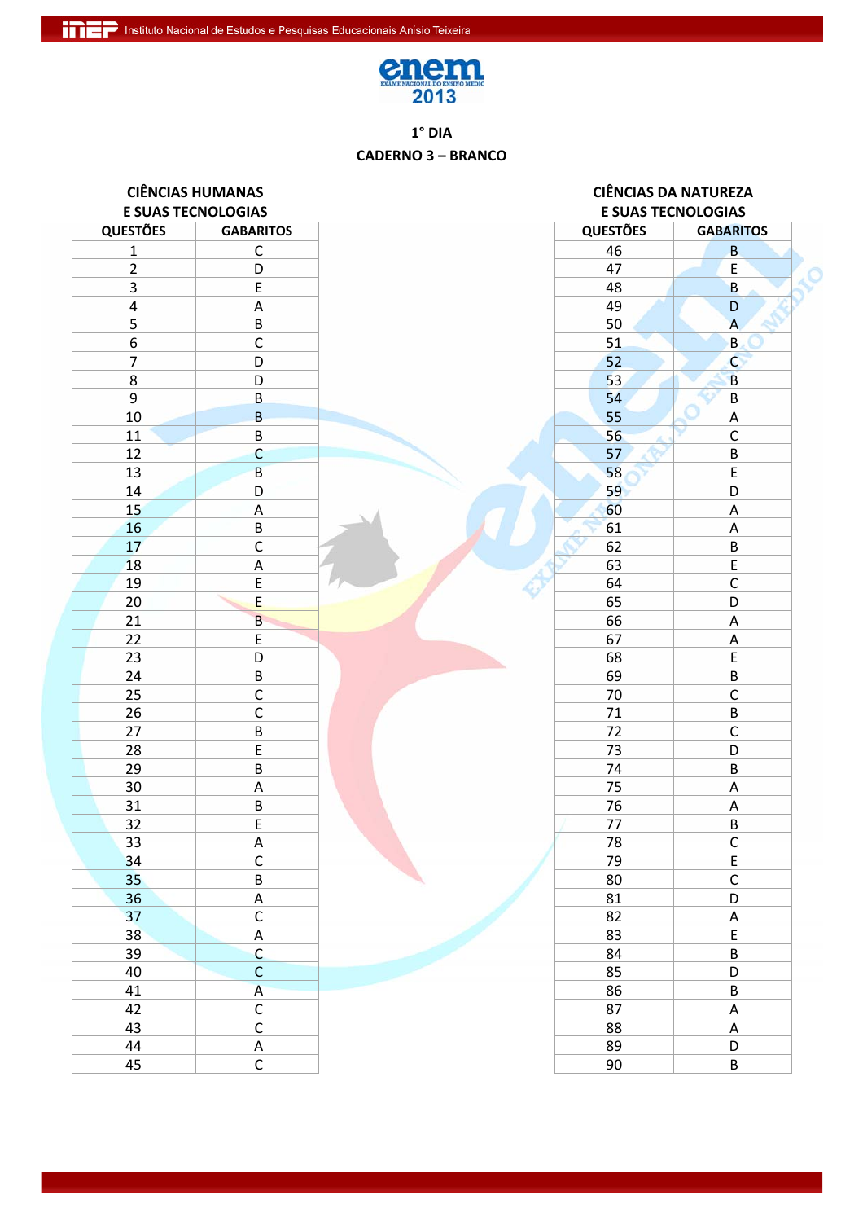

## $1°$  DIA **CADERNO 3 - BRANCO**

| <b>CIÊNCIAS HUMANAS</b><br><b>E SUAS TECNOLOGIAS</b> |                         |                 | <b>CIÊNCIAS DA NATUREZA</b> |  |
|------------------------------------------------------|-------------------------|-----------------|-----------------------------|--|
|                                                      |                         |                 | <b>E SUAS TECNOLOGIAS</b>   |  |
| <b>QUESTÕES</b>                                      | <b>GABARITOS</b>        | <b>QUESTÕES</b> | <b>GABARITOS</b>            |  |
| $\mathbf{1}$                                         | $\mathsf C$             | 46              | $\sf B$                     |  |
| $\overline{2}$                                       | D                       | 47              | $\sf E$                     |  |
| 3                                                    | $\mathsf E$             | 48              | $\sf B$                     |  |
| $\pmb{4}$                                            | $\mathsf A$             | 49              | D                           |  |
| 5                                                    | $\sf B$                 | 50              | $\overline{A}$              |  |
| 6                                                    | $\mathsf C$             | 51              | B.                          |  |
| $\overline{7}$                                       | D                       | 52              | $\mathsf{C}$                |  |
| 8                                                    | D                       | 53              | $\overline{B}$              |  |
| 9                                                    | $\sf B$                 | 54              | $\sf B$                     |  |
| $10\,$                                               | $\overline{B}$          | 55              | $\mathsf A$                 |  |
| 11                                                   | $\sf B$                 | 56              | $\mathsf C$                 |  |
| 12                                                   | $\mathsf{C}$            | 57              | $\sf B$                     |  |
| 13                                                   | $\overline{B}$          | 58              | $\overline{\mathsf{E}}$     |  |
| 14                                                   | D                       | 59              | D                           |  |
| 15                                                   | $\mathsf A$             | 60              | $\mathsf A$                 |  |
| 16                                                   | $\sf B$                 | 61              | $\mathsf A$                 |  |
| 17                                                   | $\overline{\mathsf{C}}$ | 62              | $\sf B$                     |  |
| 18                                                   | A                       | 63              | $\mathsf E$                 |  |
| 19                                                   | E                       | 64              | $\mathsf C$                 |  |
| 20                                                   | E                       | 65              | D                           |  |
| 21                                                   | $\overline{B}$          | 66              | $\mathsf A$                 |  |
| 22                                                   | E                       | 67              | $\mathsf A$                 |  |
| 23                                                   | D                       | 68              | $\mathsf E$                 |  |
| 24                                                   | $\sf B$                 | 69              | $\sf B$                     |  |
| 25                                                   | $\mathsf C$             | 70              | $\mathsf C$                 |  |
| 26                                                   | $\mathsf C$             | 71              | $\sf B$                     |  |
| 27                                                   | $\sf B$                 | 72              | $\mathsf C$                 |  |
| 28                                                   | $\mathsf E$             | 73              | D                           |  |
| 29                                                   | $\sf B$                 | 74              | B                           |  |
| 30                                                   | $\mathsf A$             | 75              | $\mathsf A$                 |  |
| 31                                                   | $\sf B$                 | 76              | $\mathsf A$                 |  |
| 32                                                   | E                       | 77              | B                           |  |
| 33                                                   |                         | 78              |                             |  |
| 34                                                   | $rac{A}{C}$             | 79              | $rac{C}{E}$                 |  |
| 35                                                   | $\sf B$                 | 80              | $\mathsf{C}$                |  |
| 36                                                   | A                       | 81              | D                           |  |
| 37                                                   | $\mathsf C$             | 82              | $\overline{A}$              |  |
| 38                                                   | $\mathsf A$             | 83              | $\mathsf E$                 |  |
| 39                                                   | $\mathsf{C}$            | 84              | $\sf B$                     |  |
| 40                                                   | $\mathsf C$             | 85              | D                           |  |
| 41                                                   | $\overline{A}$          | 86              | $\sf B$                     |  |
| 42                                                   | $\overline{C}$          | 87              | $\mathsf A$                 |  |
| 43                                                   | $\mathsf C$             | 88              | $\boldsymbol{\mathsf{A}}$   |  |
| 44                                                   | $\mathsf A$             | 89              | D                           |  |
| 45                                                   | $\overline{C}$          | 90              | $\sf B$                     |  |